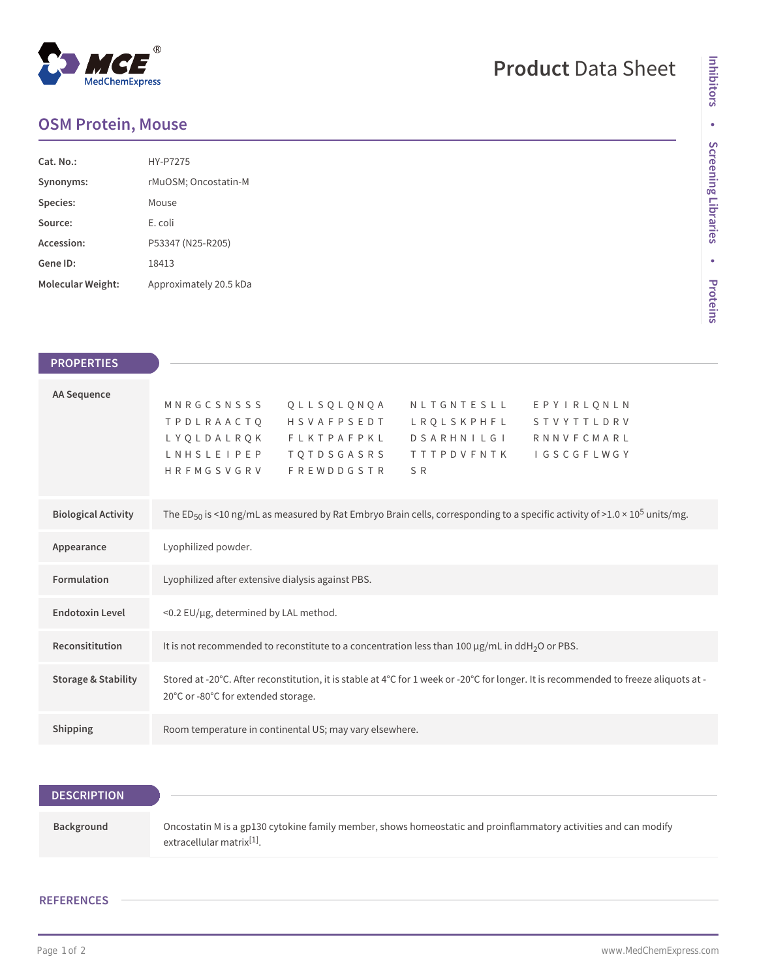## $^{\circledR}$ MedChemExpress

# **Product** Data Sheet

### **OSM Protein, Mouse**

| Cat. No.:         | <b>HY-P7275</b>        |
|-------------------|------------------------|
| Synonyms:         | rMuOSM; Oncostatin-M   |
| Species:          | Mouse                  |
| Source:           | E. coli                |
| Accession:        | P53347 (N25-R205)      |
| Gene ID:          | 18413                  |
| Molecular Weight: | Approximately 20.5 kDa |

| <b>PROPERTIES</b>              |                                                                                                                                                                                                                                                                                                                               |
|--------------------------------|-------------------------------------------------------------------------------------------------------------------------------------------------------------------------------------------------------------------------------------------------------------------------------------------------------------------------------|
| <b>AA Sequence</b>             | MNRGCSNSSS<br>QLLSQLQNQA<br>NLTGNTESLL<br>EPYIRLONLN<br>HSVAFPSEDT<br><b>TPDLRAACTO</b><br>L R Q L S K P H F L<br>STVYTTLDRV<br>LYQLDALRQK<br>FLKTPAFPKL<br>D S A R H N I L G I<br><b>RNNVFCMARL</b><br>LNHSLEIPEP<br>T Q T D S G A S R S<br><b>TTTPDVFNTK</b><br><b>IGSCGFLWGY</b><br><b>FREWDDGSTR</b><br>HRFMGSVGRV<br>S R |
|                                |                                                                                                                                                                                                                                                                                                                               |
| <b>Biological Activity</b>     | The ED <sub>50</sub> is <10 ng/mL as measured by Rat Embryo Brain cells, corresponding to a specific activity of >1.0 × 10 <sup>5</sup> units/mg.                                                                                                                                                                             |
| Appearance                     | Lyophilized powder.                                                                                                                                                                                                                                                                                                           |
| <b>Formulation</b>             | Lyophilized after extensive dialysis against PBS.                                                                                                                                                                                                                                                                             |
| <b>Endotoxin Level</b>         | <0.2 EU/µg, determined by LAL method.                                                                                                                                                                                                                                                                                         |
| Reconsititution                | It is not recommended to reconstitute to a concentration less than 100 µg/mL in ddH <sub>2</sub> O or PBS.                                                                                                                                                                                                                    |
| <b>Storage &amp; Stability</b> | Stored at -20°C. After reconstitution, it is stable at 4°C for 1 week or -20°C for longer. It is recommended to freeze aliquots at -<br>20°C or -80°C for extended storage.                                                                                                                                                   |
| Shipping                       | Room temperature in continental US; may vary elsewhere.                                                                                                                                                                                                                                                                       |

| <b>DESCRIPTION</b> |                                                                                                                                                          |
|--------------------|----------------------------------------------------------------------------------------------------------------------------------------------------------|
| Background         | Oncostatin M is a gp130 cytokine family member, shows homeostatic and proinflammatory activities and can modify<br>extracellular matrix <sup>[1]</sup> . |

### **REFERENCES**